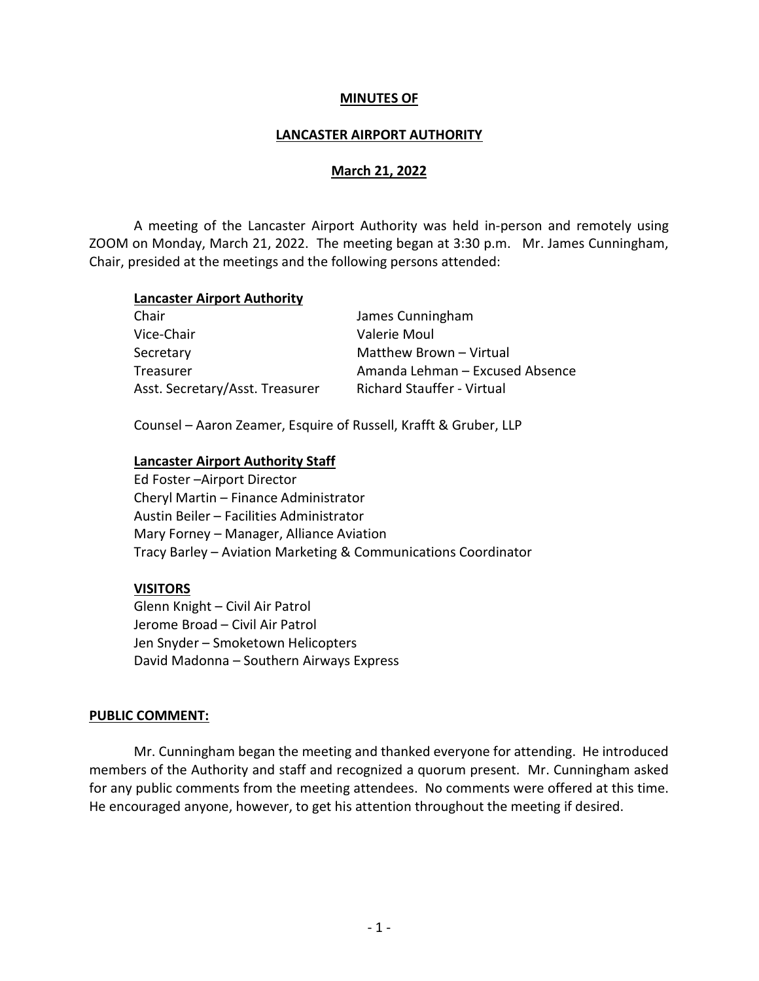#### MINUTES OF

#### LANCASTER AIRPORT AUTHORITY

#### March 21, 2022

 A meeting of the Lancaster Airport Authority was held in-person and remotely using ZOOM on Monday, March 21, 2022. The meeting began at 3:30 p.m. Mr. James Cunningham, Chair, presided at the meetings and the following persons attended:

#### Lancaster Airport Authority

| Chair                           | James Cunningham                  |
|---------------------------------|-----------------------------------|
| Vice-Chair                      | Valerie Moul                      |
| Secretary                       | Matthew Brown - Virtual           |
| Treasurer                       | Amanda Lehman - Excused Absence   |
| Asst. Secretary/Asst. Treasurer | <b>Richard Stauffer - Virtual</b> |

Counsel – Aaron Zeamer, Esquire of Russell, Krafft & Gruber, LLP

#### Lancaster Airport Authority Staff

Ed Foster –Airport Director Cheryl Martin – Finance Administrator Austin Beiler – Facilities Administrator Mary Forney – Manager, Alliance Aviation Tracy Barley – Aviation Marketing & Communications Coordinator

#### VISITORS

 Glenn Knight – Civil Air Patrol Jerome Broad – Civil Air Patrol Jen Snyder – Smoketown Helicopters David Madonna – Southern Airways Express

#### PUBLIC COMMENT:

 Mr. Cunningham began the meeting and thanked everyone for attending. He introduced members of the Authority and staff and recognized a quorum present. Mr. Cunningham asked for any public comments from the meeting attendees. No comments were offered at this time. He encouraged anyone, however, to get his attention throughout the meeting if desired.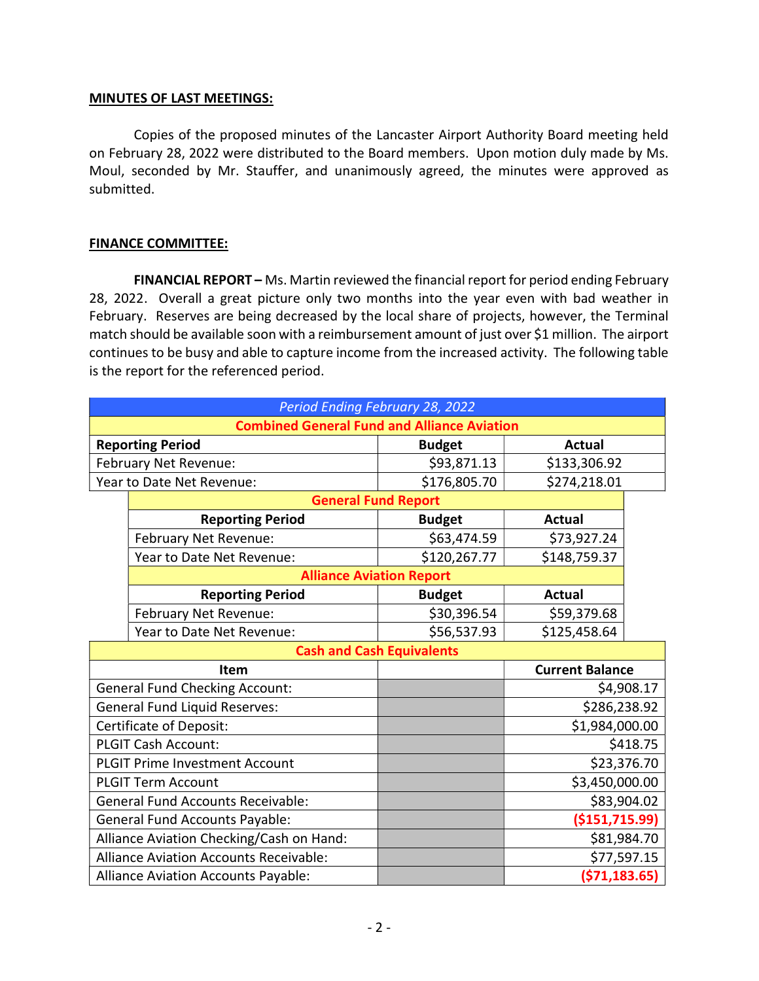#### MINUTES OF LAST MEETINGS:

 Copies of the proposed minutes of the Lancaster Airport Authority Board meeting held on February 28, 2022 were distributed to the Board members. Upon motion duly made by Ms. Moul, seconded by Mr. Stauffer, and unanimously agreed, the minutes were approved as submitted.

### FINANCE COMMITTEE:

FINANCIAL REPORT – Ms. Martin reviewed the financial report for period ending February 28, 2022. Overall a great picture only two months into the year even with bad weather in February. Reserves are being decreased by the local share of projects, however, the Terminal match should be available soon with a reimbursement amount of just over \$1 million. The airport continues to be busy and able to capture income from the increased activity. The following table is the report for the referenced period.

| Period Ending February 28, 2022                    |                                       |               |                        |            |  |
|----------------------------------------------------|---------------------------------------|---------------|------------------------|------------|--|
| <b>Combined General Fund and Alliance Aviation</b> |                                       |               |                        |            |  |
|                                                    | <b>Reporting Period</b>               | <b>Budget</b> | <b>Actual</b>          |            |  |
|                                                    | February Net Revenue:                 | \$93,871.13   | \$133,306.92           |            |  |
|                                                    | Year to Date Net Revenue:             | \$176,805.70  | \$274,218.01           |            |  |
| <b>General Fund Report</b>                         |                                       |               |                        |            |  |
|                                                    | <b>Reporting Period</b>               | <b>Budget</b> | <b>Actual</b>          |            |  |
|                                                    | February Net Revenue:                 | \$63,474.59   | \$73,927.24            |            |  |
|                                                    | Year to Date Net Revenue:             | \$120,267.77  | \$148,759.37           |            |  |
|                                                    | <b>Alliance Aviation Report</b>       |               |                        |            |  |
|                                                    | <b>Reporting Period</b>               | <b>Budget</b> | <b>Actual</b>          |            |  |
|                                                    | February Net Revenue:                 | \$30,396.54   | \$59,379.68            |            |  |
|                                                    | Year to Date Net Revenue:             | \$56,537.93   | \$125,458.64           |            |  |
| <b>Cash and Cash Equivalents</b>                   |                                       |               |                        |            |  |
|                                                    | <b>Item</b>                           |               | <b>Current Balance</b> |            |  |
|                                                    | <b>General Fund Checking Account:</b> |               |                        | \$4,908.17 |  |
| <b>General Fund Liquid Reserves:</b>               |                                       |               | \$286,238.92           |            |  |
| Certificate of Deposit:                            |                                       |               | \$1,984,000.00         |            |  |
| <b>PLGIT Cash Account:</b>                         |                                       |               | \$418.75               |            |  |
| <b>PLGIT Prime Investment Account</b>              |                                       |               | \$23,376.70            |            |  |
| <b>PLGIT Term Account</b>                          |                                       |               | \$3,450,000.00         |            |  |
| <b>General Fund Accounts Receivable:</b>           |                                       |               | \$83,904.02            |            |  |
| <b>General Fund Accounts Payable:</b>              |                                       |               | ( \$151, 715.99)       |            |  |
| Alliance Aviation Checking/Cash on Hand:           |                                       |               | \$81,984.70            |            |  |
| <b>Alliance Aviation Accounts Receivable:</b>      |                                       |               | \$77,597.15            |            |  |
| <b>Alliance Aviation Accounts Payable:</b>         |                                       |               | ( \$71, 183.65)        |            |  |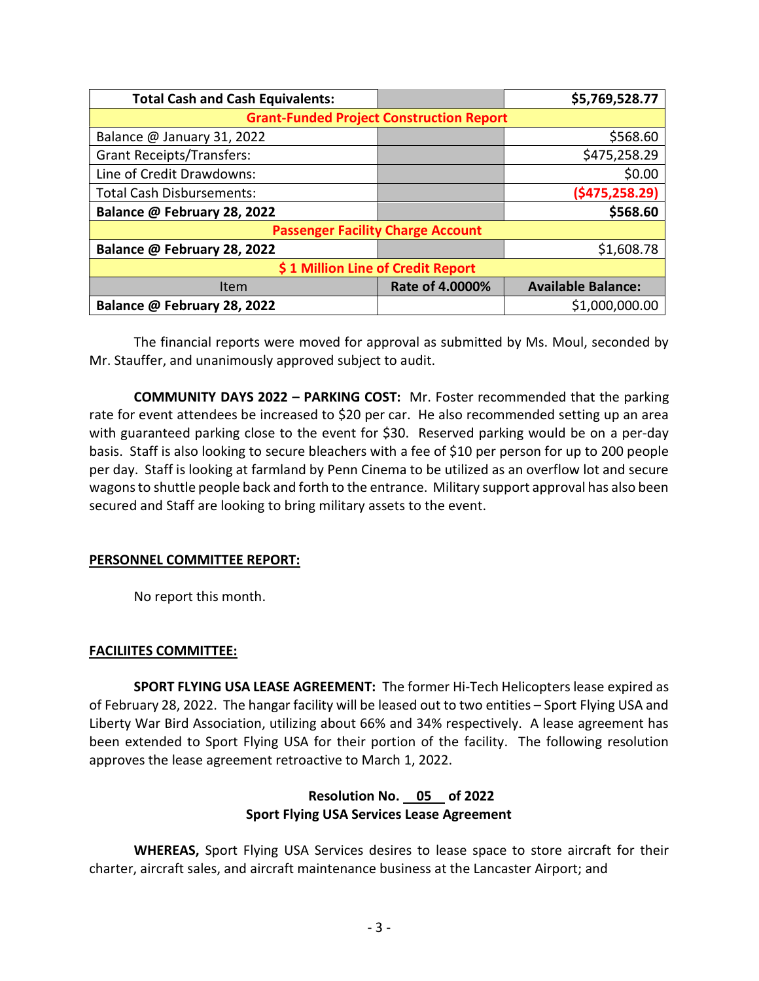| <b>Total Cash and Cash Equivalents:</b>         |                 | \$5,769,528.77            |  |  |  |
|-------------------------------------------------|-----------------|---------------------------|--|--|--|
| <b>Grant-Funded Project Construction Report</b> |                 |                           |  |  |  |
| Balance @ January 31, 2022                      |                 | \$568.60                  |  |  |  |
| <b>Grant Receipts/Transfers:</b>                |                 | \$475,258.29              |  |  |  |
| Line of Credit Drawdowns:                       |                 | \$0.00                    |  |  |  |
| <b>Total Cash Disbursements:</b>                |                 | (\$475,258.29)            |  |  |  |
| Balance @ February 28, 2022                     |                 | \$568.60                  |  |  |  |
| <b>Passenger Facility Charge Account</b>        |                 |                           |  |  |  |
| Balance @ February 28, 2022                     |                 | \$1,608.78                |  |  |  |
| \$1 Million Line of Credit Report               |                 |                           |  |  |  |
| <b>Item</b>                                     | Rate of 4.0000% | <b>Available Balance:</b> |  |  |  |
| Balance @ February 28, 2022                     |                 | \$1,000,000.00            |  |  |  |

The financial reports were moved for approval as submitted by Ms. Moul, seconded by Mr. Stauffer, and unanimously approved subject to audit.

COMMUNITY DAYS 2022 – PARKING COST: Mr. Foster recommended that the parking rate for event attendees be increased to \$20 per car. He also recommended setting up an area with guaranteed parking close to the event for \$30. Reserved parking would be on a per-day basis. Staff is also looking to secure bleachers with a fee of \$10 per person for up to 200 people per day. Staff is looking at farmland by Penn Cinema to be utilized as an overflow lot and secure wagons to shuttle people back and forth to the entrance. Military support approval has also been secured and Staff are looking to bring military assets to the event.

### PERSONNEL COMMITTEE REPORT:

No report this month.

### FACILIITES COMMITTEE:

SPORT FLYING USA LEASE AGREEMENT: The former Hi-Tech Helicopters lease expired as of February 28, 2022. The hangar facility will be leased out to two entities – Sport Flying USA and Liberty War Bird Association, utilizing about 66% and 34% respectively. A lease agreement has been extended to Sport Flying USA for their portion of the facility. The following resolution approves the lease agreement retroactive to March 1, 2022.

# Resolution No. 05 of 2022 Sport Flying USA Services Lease Agreement

WHEREAS, Sport Flying USA Services desires to lease space to store aircraft for their charter, aircraft sales, and aircraft maintenance business at the Lancaster Airport; and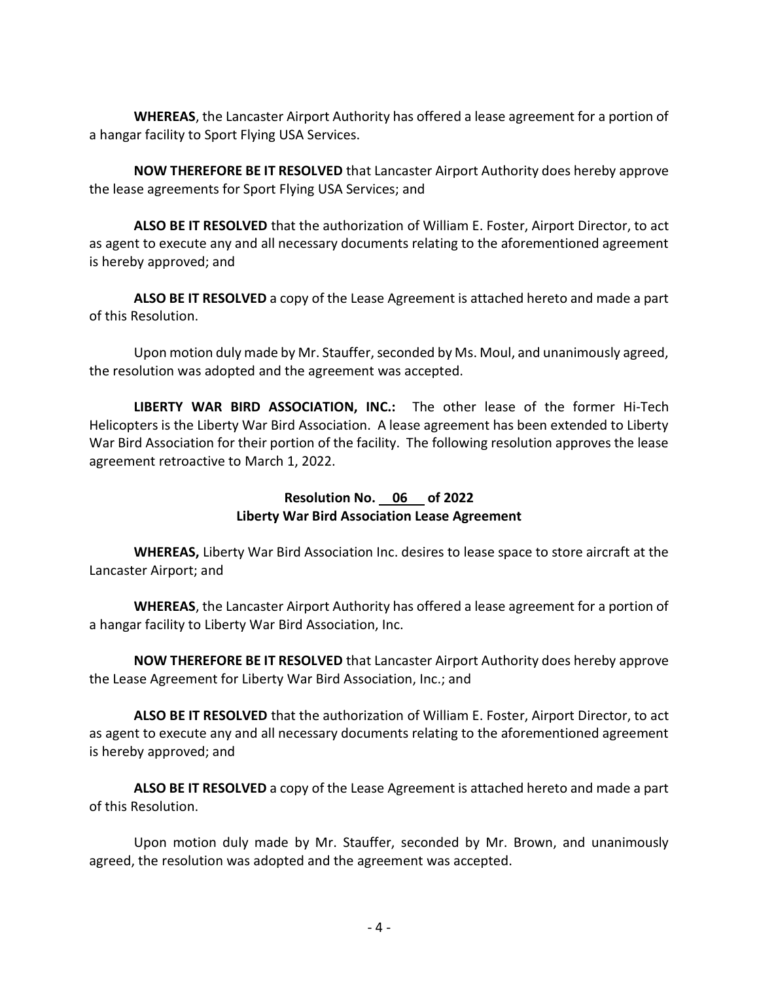WHEREAS, the Lancaster Airport Authority has offered a lease agreement for a portion of a hangar facility to Sport Flying USA Services.

 NOW THEREFORE BE IT RESOLVED that Lancaster Airport Authority does hereby approve the lease agreements for Sport Flying USA Services; and

ALSO BE IT RESOLVED that the authorization of William E. Foster, Airport Director, to act as agent to execute any and all necessary documents relating to the aforementioned agreement is hereby approved; and

ALSO BE IT RESOLVED a copy of the Lease Agreement is attached hereto and made a part of this Resolution.

 Upon motion duly made by Mr. Stauffer, seconded by Ms. Moul, and unanimously agreed, the resolution was adopted and the agreement was accepted.

LIBERTY WAR BIRD ASSOCIATION, INC.: The other lease of the former Hi-Tech Helicopters is the Liberty War Bird Association. A lease agreement has been extended to Liberty War Bird Association for their portion of the facility. The following resolution approves the lease agreement retroactive to March 1, 2022.

### Resolution No. 06 of 2022 Liberty War Bird Association Lease Agreement

WHEREAS, Liberty War Bird Association Inc. desires to lease space to store aircraft at the Lancaster Airport; and

WHEREAS, the Lancaster Airport Authority has offered a lease agreement for a portion of a hangar facility to Liberty War Bird Association, Inc.

 NOW THEREFORE BE IT RESOLVED that Lancaster Airport Authority does hereby approve the Lease Agreement for Liberty War Bird Association, Inc.; and

ALSO BE IT RESOLVED that the authorization of William E. Foster, Airport Director, to act as agent to execute any and all necessary documents relating to the aforementioned agreement is hereby approved; and

ALSO BE IT RESOLVED a copy of the Lease Agreement is attached hereto and made a part of this Resolution.

 Upon motion duly made by Mr. Stauffer, seconded by Mr. Brown, and unanimously agreed, the resolution was adopted and the agreement was accepted.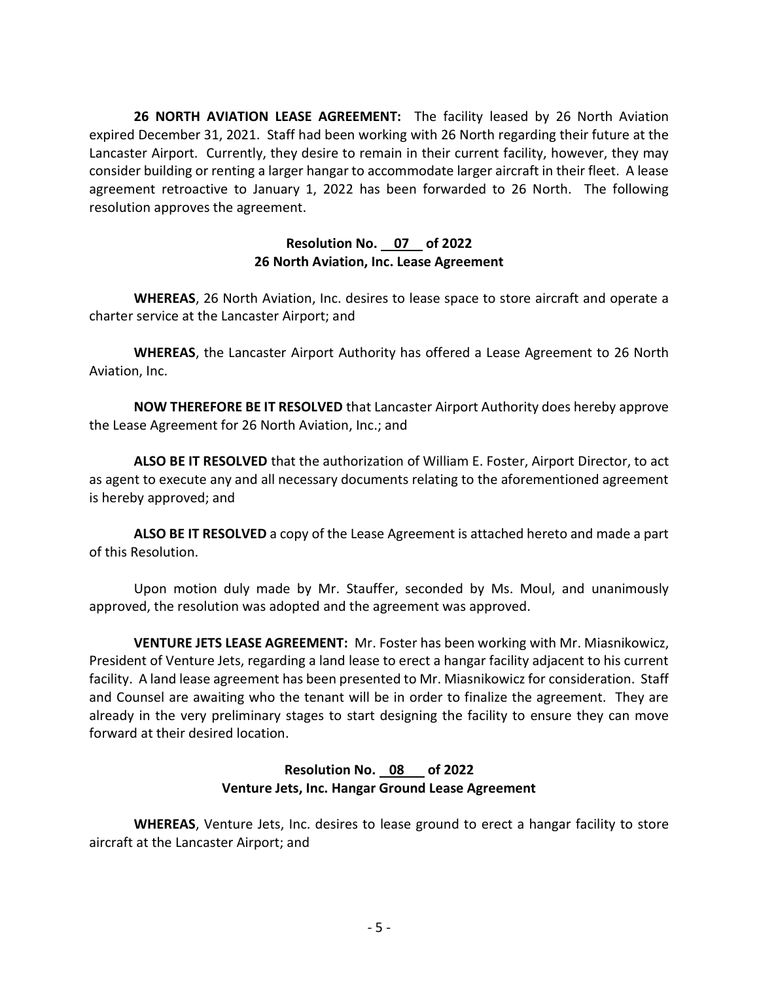26 NORTH AVIATION LEASE AGREEMENT: The facility leased by 26 North Aviation expired December 31, 2021. Staff had been working with 26 North regarding their future at the Lancaster Airport. Currently, they desire to remain in their current facility, however, they may consider building or renting a larger hangar to accommodate larger aircraft in their fleet. A lease agreement retroactive to January 1, 2022 has been forwarded to 26 North. The following resolution approves the agreement.

### Resolution No. 07 of 2022 26 North Aviation, Inc. Lease Agreement

WHEREAS, 26 North Aviation, Inc. desires to lease space to store aircraft and operate a charter service at the Lancaster Airport; and

WHEREAS, the Lancaster Airport Authority has offered a Lease Agreement to 26 North Aviation, Inc.

 NOW THEREFORE BE IT RESOLVED that Lancaster Airport Authority does hereby approve the Lease Agreement for 26 North Aviation, Inc.; and

ALSO BE IT RESOLVED that the authorization of William E. Foster, Airport Director, to act as agent to execute any and all necessary documents relating to the aforementioned agreement is hereby approved; and

ALSO BE IT RESOLVED a copy of the Lease Agreement is attached hereto and made a part of this Resolution.

 Upon motion duly made by Mr. Stauffer, seconded by Ms. Moul, and unanimously approved, the resolution was adopted and the agreement was approved.

VENTURE JETS LEASE AGREEMENT: Mr. Foster has been working with Mr. Miasnikowicz, President of Venture Jets, regarding a land lease to erect a hangar facility adjacent to his current facility. A land lease agreement has been presented to Mr. Miasnikowicz for consideration. Staff and Counsel are awaiting who the tenant will be in order to finalize the agreement. They are already in the very preliminary stages to start designing the facility to ensure they can move forward at their desired location.

# Resolution No. 08 of 2022 Venture Jets, Inc. Hangar Ground Lease Agreement

WHEREAS, Venture Jets, Inc. desires to lease ground to erect a hangar facility to store aircraft at the Lancaster Airport; and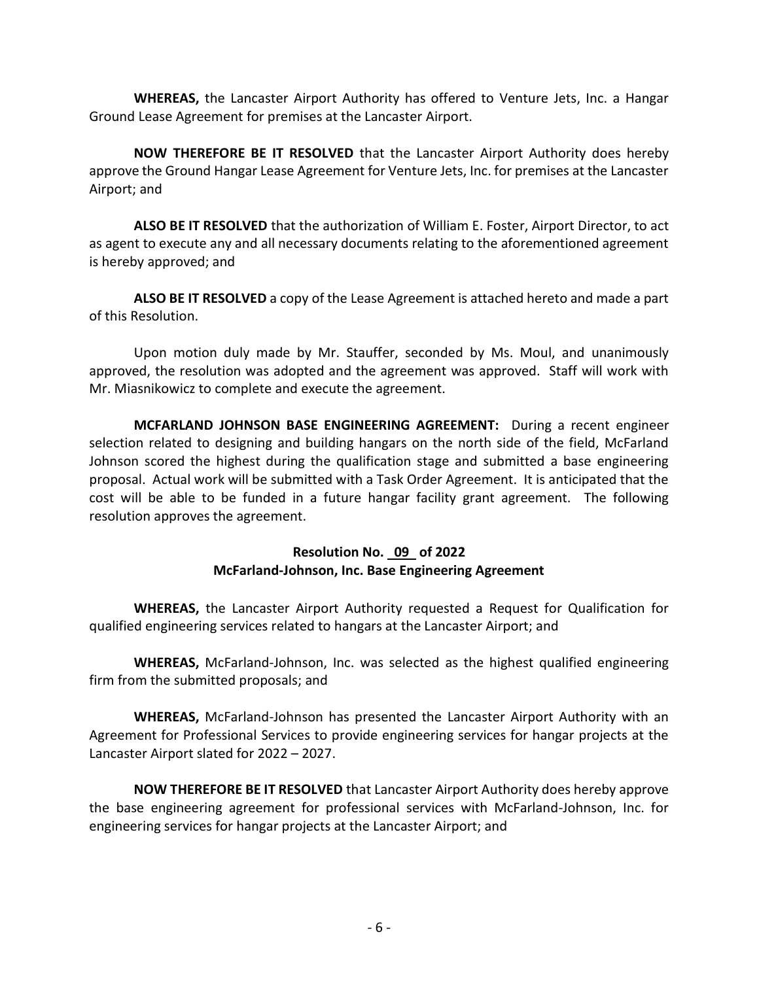WHEREAS, the Lancaster Airport Authority has offered to Venture Jets, Inc. a Hangar Ground Lease Agreement for premises at the Lancaster Airport.

NOW THEREFORE BE IT RESOLVED that the Lancaster Airport Authority does hereby approve the Ground Hangar Lease Agreement for Venture Jets, Inc. for premises at the Lancaster Airport; and

ALSO BE IT RESOLVED that the authorization of William E. Foster, Airport Director, to act as agent to execute any and all necessary documents relating to the aforementioned agreement is hereby approved; and

ALSO BE IT RESOLVED a copy of the Lease Agreement is attached hereto and made a part of this Resolution.

 Upon motion duly made by Mr. Stauffer, seconded by Ms. Moul, and unanimously approved, the resolution was adopted and the agreement was approved. Staff will work with Mr. Miasnikowicz to complete and execute the agreement.

MCFARLAND JOHNSON BASE ENGINEERING AGREEMENT: During a recent engineer selection related to designing and building hangars on the north side of the field, McFarland Johnson scored the highest during the qualification stage and submitted a base engineering proposal. Actual work will be submitted with a Task Order Agreement. It is anticipated that the cost will be able to be funded in a future hangar facility grant agreement. The following resolution approves the agreement.

### Resolution No. 09 of 2022 McFarland-Johnson, Inc. Base Engineering Agreement

WHEREAS, the Lancaster Airport Authority requested a Request for Qualification for qualified engineering services related to hangars at the Lancaster Airport; and

WHEREAS, McFarland-Johnson, Inc. was selected as the highest qualified engineering firm from the submitted proposals; and

WHEREAS, McFarland-Johnson has presented the Lancaster Airport Authority with an Agreement for Professional Services to provide engineering services for hangar projects at the Lancaster Airport slated for 2022 – 2027.

 NOW THEREFORE BE IT RESOLVED that Lancaster Airport Authority does hereby approve the base engineering agreement for professional services with McFarland-Johnson, Inc. for engineering services for hangar projects at the Lancaster Airport; and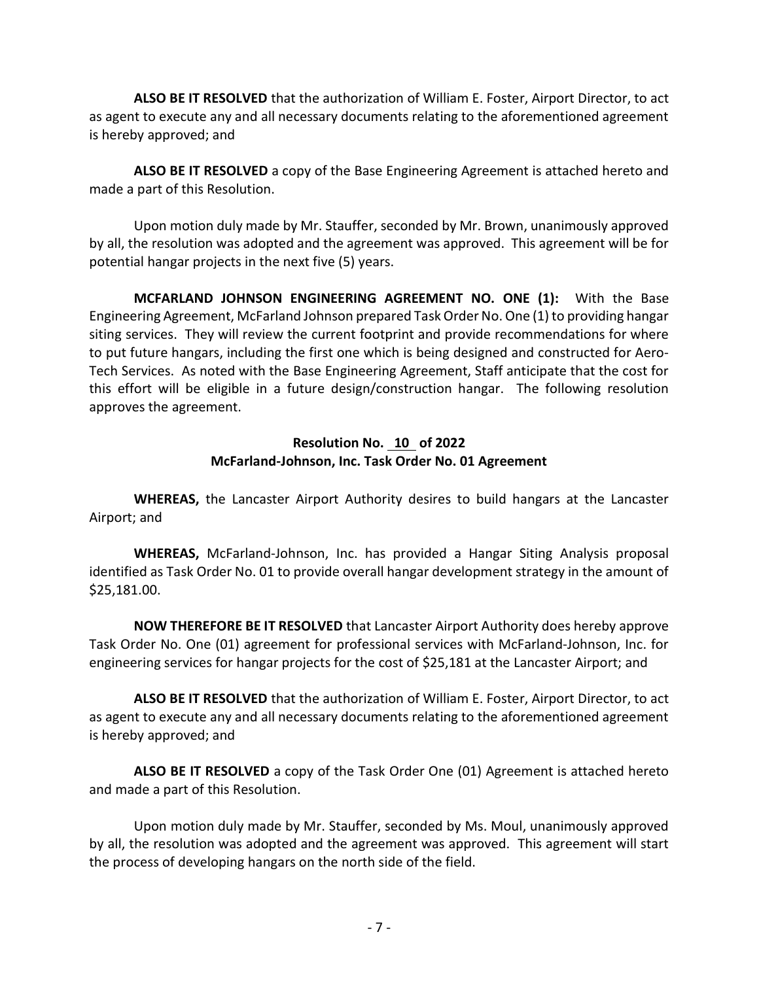ALSO BE IT RESOLVED that the authorization of William E. Foster, Airport Director, to act as agent to execute any and all necessary documents relating to the aforementioned agreement is hereby approved; and

ALSO BE IT RESOLVED a copy of the Base Engineering Agreement is attached hereto and made a part of this Resolution.

Upon motion duly made by Mr. Stauffer, seconded by Mr. Brown, unanimously approved by all, the resolution was adopted and the agreement was approved. This agreement will be for potential hangar projects in the next five (5) years.

MCFARLAND JOHNSON ENGINEERING AGREEMENT NO. ONE (1): With the Base Engineering Agreement, McFarland Johnson prepared Task Order No. One (1) to providing hangar siting services. They will review the current footprint and provide recommendations for where to put future hangars, including the first one which is being designed and constructed for Aero-Tech Services. As noted with the Base Engineering Agreement, Staff anticipate that the cost for this effort will be eligible in a future design/construction hangar. The following resolution approves the agreement.

# Resolution No. 10 of 2022 McFarland-Johnson, Inc. Task Order No. 01 Agreement

WHEREAS, the Lancaster Airport Authority desires to build hangars at the Lancaster Airport; and

WHEREAS, McFarland-Johnson, Inc. has provided a Hangar Siting Analysis proposal identified as Task Order No. 01 to provide overall hangar development strategy in the amount of \$25,181.00.

 NOW THEREFORE BE IT RESOLVED that Lancaster Airport Authority does hereby approve Task Order No. One (01) agreement for professional services with McFarland-Johnson, Inc. for engineering services for hangar projects for the cost of \$25,181 at the Lancaster Airport; and

ALSO BE IT RESOLVED that the authorization of William E. Foster, Airport Director, to act as agent to execute any and all necessary documents relating to the aforementioned agreement is hereby approved; and

ALSO BE IT RESOLVED a copy of the Task Order One (01) Agreement is attached hereto and made a part of this Resolution.

Upon motion duly made by Mr. Stauffer, seconded by Ms. Moul, unanimously approved by all, the resolution was adopted and the agreement was approved. This agreement will start the process of developing hangars on the north side of the field.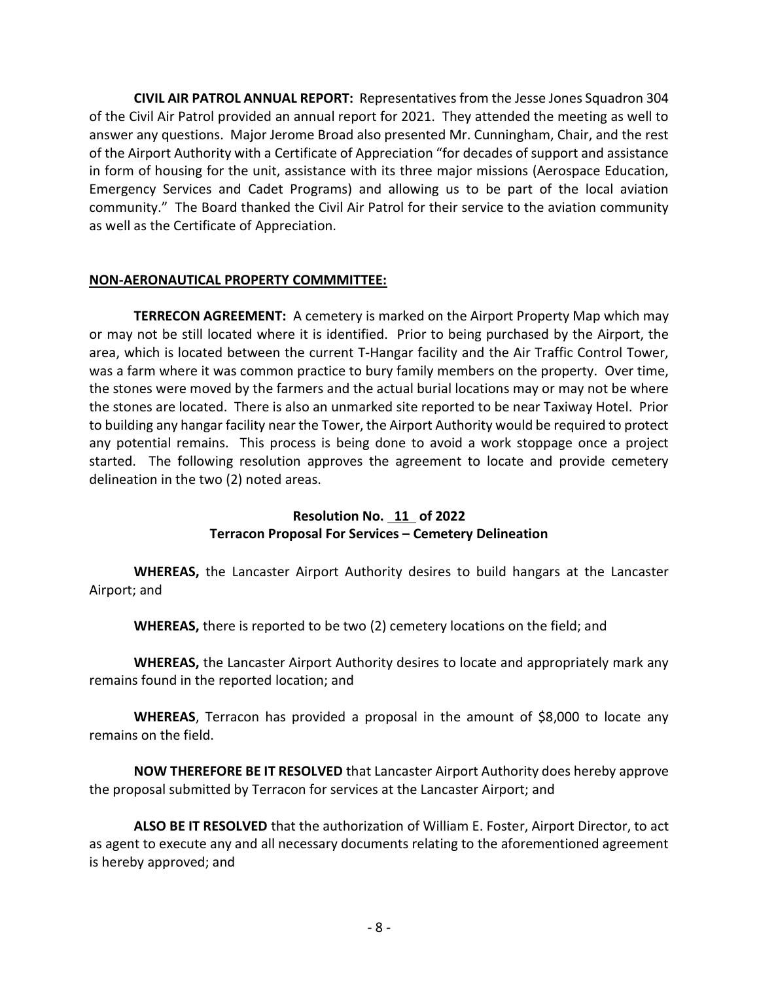CIVIL AIR PATROL ANNUAL REPORT: Representatives from the Jesse Jones Squadron 304 of the Civil Air Patrol provided an annual report for 2021. They attended the meeting as well to answer any questions. Major Jerome Broad also presented Mr. Cunningham, Chair, and the rest of the Airport Authority with a Certificate of Appreciation "for decades of support and assistance in form of housing for the unit, assistance with its three major missions (Aerospace Education, Emergency Services and Cadet Programs) and allowing us to be part of the local aviation community." The Board thanked the Civil Air Patrol for their service to the aviation community as well as the Certificate of Appreciation.

# NON-AERONAUTICAL PROPERTY COMMMITTEE:

TERRECON AGREEMENT: A cemetery is marked on the Airport Property Map which may or may not be still located where it is identified. Prior to being purchased by the Airport, the area, which is located between the current T-Hangar facility and the Air Traffic Control Tower, was a farm where it was common practice to bury family members on the property. Over time, the stones were moved by the farmers and the actual burial locations may or may not be where the stones are located. There is also an unmarked site reported to be near Taxiway Hotel. Prior to building any hangar facility near the Tower, the Airport Authority would be required to protect any potential remains. This process is being done to avoid a work stoppage once a project started. The following resolution approves the agreement to locate and provide cemetery delineation in the two (2) noted areas.

# Resolution No. 11 of 2022 Terracon Proposal For Services – Cemetery Delineation

WHEREAS, the Lancaster Airport Authority desires to build hangars at the Lancaster Airport; and

WHEREAS, there is reported to be two (2) cemetery locations on the field; and

WHEREAS, the Lancaster Airport Authority desires to locate and appropriately mark any remains found in the reported location; and

WHEREAS, Terracon has provided a proposal in the amount of \$8,000 to locate any remains on the field.

 NOW THEREFORE BE IT RESOLVED that Lancaster Airport Authority does hereby approve the proposal submitted by Terracon for services at the Lancaster Airport; and

ALSO BE IT RESOLVED that the authorization of William E. Foster, Airport Director, to act as agent to execute any and all necessary documents relating to the aforementioned agreement is hereby approved; and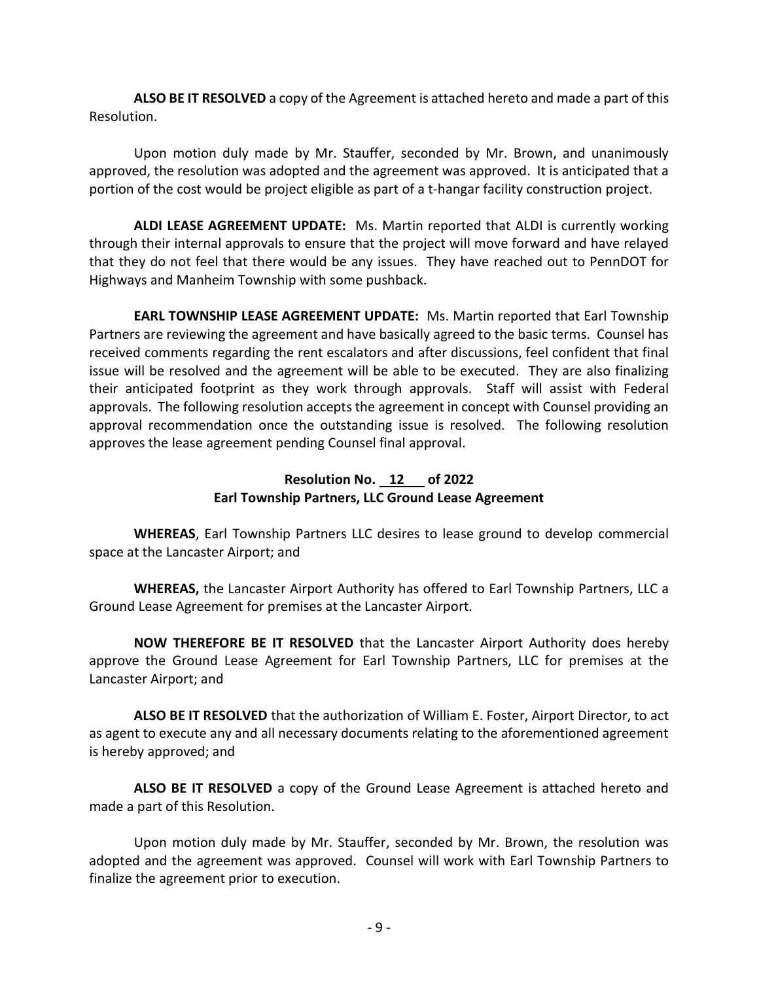ALSO BE IT RESOLVED a copy of the Agreement is attached hereto and made a part of this Resolution.

 Upon motion duly made by Mr. Stauffer, seconded by Mr. Brown, and unanimously approved, the resolution was adopted and the agreement was approved. It is anticipated that a portion of the cost would be project eligible as part of a t-hangar facility construction project.

ALDI LEASE AGREEMENT UPDATE: Ms. Martin reported that ALDI is currently working through their internal approvals to ensure that the project will move forward and have relayed that they do not feel that there would be any issues. They have reached out to PennDOT for Highways and Manheim Township with some pushback.

EARL TOWNSHIP LEASE AGREEMENT UPDATE: Ms. Martin reported that Earl Township Partners are reviewing the agreement and have basically agreed to the basic terms. Counsel has received comments regarding the rent escalators and after discussions, feel confident that final issue will be resolved and the agreement will be able to be executed. They are also finalizing their anticipated footprint as they work through approvals. Staff will assist with Federal approvals. The following resolution accepts the agreement in concept with Counsel providing an approval recommendation once the outstanding issue is resolved. The following resolution approves the lease agreement pending Counsel final approval.

# Resolution No. 12 of 2022 Earl Township Partners, LLC Ground Lease Agreement

WHEREAS, Earl Township Partners LLC desires to lease ground to develop commercial space at the Lancaster Airport; and

WHEREAS, the Lancaster Airport Authority has offered to Earl Township Partners, LLC a Ground Lease Agreement for premises at the Lancaster Airport.

NOW THEREFORE BE IT RESOLVED that the Lancaster Airport Authority does hereby approve the Ground Lease Agreement for Earl Township Partners, LLC for premises at the Lancaster Airport; and

ALSO BE IT RESOLVED that the authorization of William E. Foster, Airport Director, to act as agent to execute any and all necessary documents relating to the aforementioned agreement is hereby approved; and

ALSO BE IT RESOLVED a copy of the Ground Lease Agreement is attached hereto and made a part of this Resolution.

 Upon motion duly made by Mr. Stauffer, seconded by Mr. Brown, the resolution was adopted and the agreement was approved. Counsel will work with Earl Township Partners to finalize the agreement prior to execution.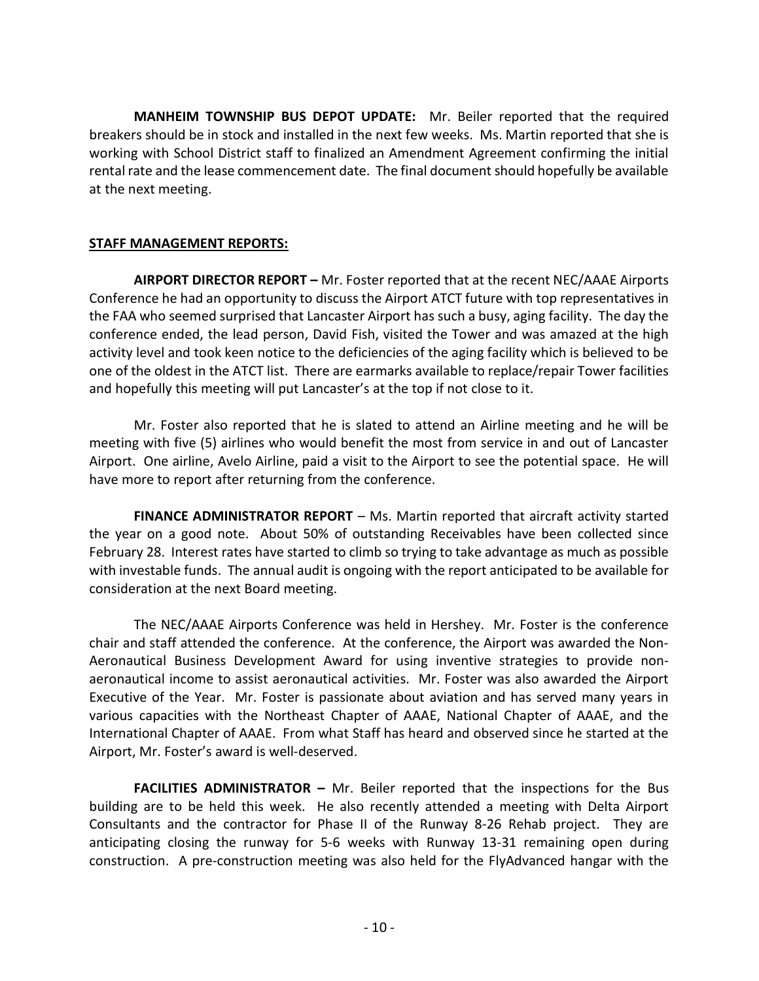MANHEIM TOWNSHIP BUS DEPOT UPDATE: Mr. Beiler reported that the required breakers should be in stock and installed in the next few weeks. Ms. Martin reported that she is working with School District staff to finalized an Amendment Agreement confirming the initial rental rate and the lease commencement date. The final document should hopefully be available at the next meeting.

### STAFF MANAGEMENT REPORTS:

AIRPORT DIRECTOR REPORT – Mr. Foster reported that at the recent NEC/AAAE Airports Conference he had an opportunity to discuss the Airport ATCT future with top representatives in the FAA who seemed surprised that Lancaster Airport has such a busy, aging facility. The day the conference ended, the lead person, David Fish, visited the Tower and was amazed at the high activity level and took keen notice to the deficiencies of the aging facility which is believed to be one of the oldest in the ATCT list. There are earmarks available to replace/repair Tower facilities and hopefully this meeting will put Lancaster's at the top if not close to it.

 Mr. Foster also reported that he is slated to attend an Airline meeting and he will be meeting with five (5) airlines who would benefit the most from service in and out of Lancaster Airport. One airline, Avelo Airline, paid a visit to the Airport to see the potential space. He will have more to report after returning from the conference.

FINANCE ADMINISTRATOR REPORT – Ms. Martin reported that aircraft activity started the year on a good note. About 50% of outstanding Receivables have been collected since February 28. Interest rates have started to climb so trying to take advantage as much as possible with investable funds. The annual audit is ongoing with the report anticipated to be available for consideration at the next Board meeting.

The NEC/AAAE Airports Conference was held in Hershey. Mr. Foster is the conference chair and staff attended the conference. At the conference, the Airport was awarded the Non-Aeronautical Business Development Award for using inventive strategies to provide nonaeronautical income to assist aeronautical activities. Mr. Foster was also awarded the Airport Executive of the Year. Mr. Foster is passionate about aviation and has served many years in various capacities with the Northeast Chapter of AAAE, National Chapter of AAAE, and the International Chapter of AAAE. From what Staff has heard and observed since he started at the Airport, Mr. Foster's award is well-deserved.

FACILITIES ADMINISTRATOR - Mr. Beiler reported that the inspections for the Bus building are to be held this week. He also recently attended a meeting with Delta Airport Consultants and the contractor for Phase II of the Runway 8-26 Rehab project. They are anticipating closing the runway for 5-6 weeks with Runway 13-31 remaining open during construction. A pre-construction meeting was also held for the FlyAdvanced hangar with the